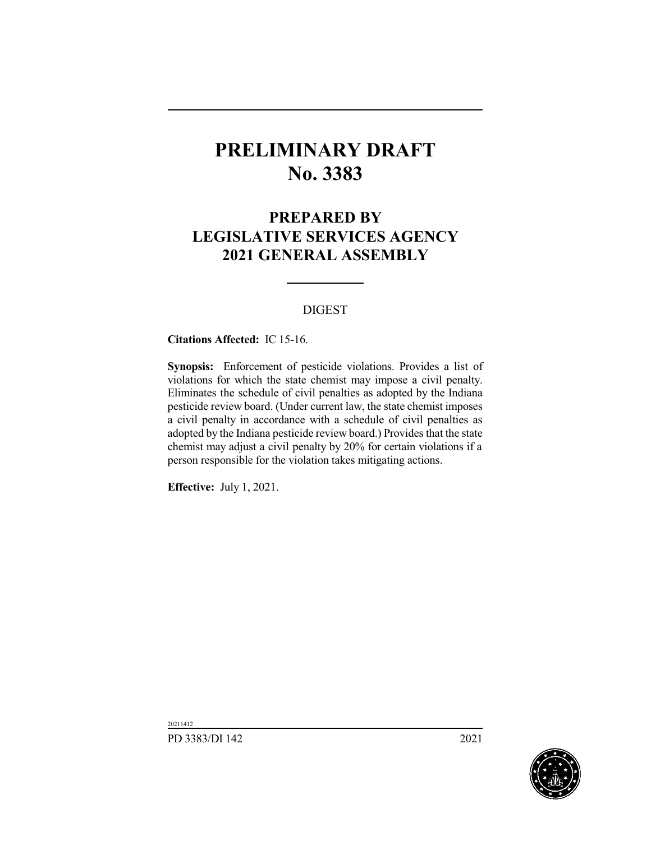## **PRELIMINARY DRAFT No. 3383**

## **PREPARED BY LEGISLATIVE SERVICES AGENCY 2021 GENERAL ASSEMBLY**

## DIGEST

**Citations Affected:** IC 15-16.

**Synopsis:** Enforcement of pesticide violations. Provides a list of violations for which the state chemist may impose a civil penalty. Eliminates the schedule of civil penalties as adopted by the Indiana pesticide review board. (Under current law, the state chemist imposes a civil penalty in accordance with a schedule of civil penalties as adopted by the Indiana pesticide review board.) Provides that the state chemist may adjust a civil penalty by 20% for certain violations if a person responsible for the violation takes mitigating actions.

**Effective:** July 1, 2021.

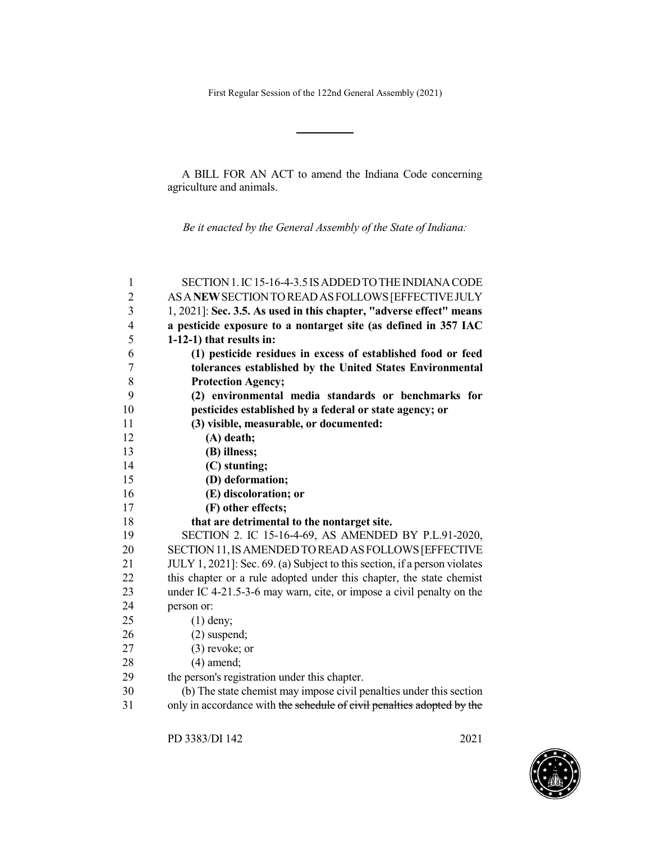First Regular Session of the 122nd General Assembly (2021)

A BILL FOR AN ACT to amend the Indiana Code concerning agriculture and animals.

*Be it enacted by the General Assembly of the State of Indiana:*

| $\mathbf{1}$            | SECTION 1. IC 15-16-4-3.5 IS ADDED TO THE INDIANA CODE                    |
|-------------------------|---------------------------------------------------------------------------|
| $\overline{c}$          | AS A NEW SECTION TO READ AS FOLLOWS [EFFECTIVE JULY                       |
| $\overline{\mathbf{3}}$ | 1, 2021]: Sec. 3.5. As used in this chapter, "adverse effect" means       |
| $\overline{4}$          | a pesticide exposure to a nontarget site (as defined in 357 IAC           |
| 5                       | $1-12-1$ ) that results in:                                               |
| 6                       | (1) pesticide residues in excess of established food or feed              |
| 7                       | tolerances established by the United States Environmental                 |
| 8                       | <b>Protection Agency;</b>                                                 |
| 9                       | (2) environmental media standards or benchmarks for                       |
| 10                      | pesticides established by a federal or state agency; or                   |
| 11                      | (3) visible, measurable, or documented:                                   |
| 12                      | $(A)$ death;                                                              |
| 13                      | (B) illness;                                                              |
| 14                      | (C) stunting;                                                             |
| 15                      | (D) deformation;                                                          |
| 16                      | (E) discoloration; or                                                     |
| 17                      | (F) other effects;                                                        |
| 18                      | that are detrimental to the nontarget site.                               |
| 19                      | SECTION 2. IC 15-16-4-69, AS AMENDED BY P.L.91-2020,                      |
| 20                      | SECTION 11, IS AMENDED TO READ AS FOLLOWS [EFFECTIVE                      |
| 21                      | JULY 1, 2021]: Sec. 69. (a) Subject to this section, if a person violates |
| 22                      | this chapter or a rule adopted under this chapter, the state chemist      |
| 23                      | under IC 4-21.5-3-6 may warn, cite, or impose a civil penalty on the      |
| 24                      | person or:                                                                |
| 25                      | $(1)$ deny;                                                               |
| 26                      | $(2)$ suspend;                                                            |
| 27                      | $(3)$ revoke; or                                                          |
| 28                      | $(4)$ amend;                                                              |
| 29                      | the person's registration under this chapter.                             |
| 30                      | (b) The state chemist may impose civil penalties under this section       |
| 31                      | only in accordance with the schedule of eivil penalties adopted by the    |
|                         |                                                                           |

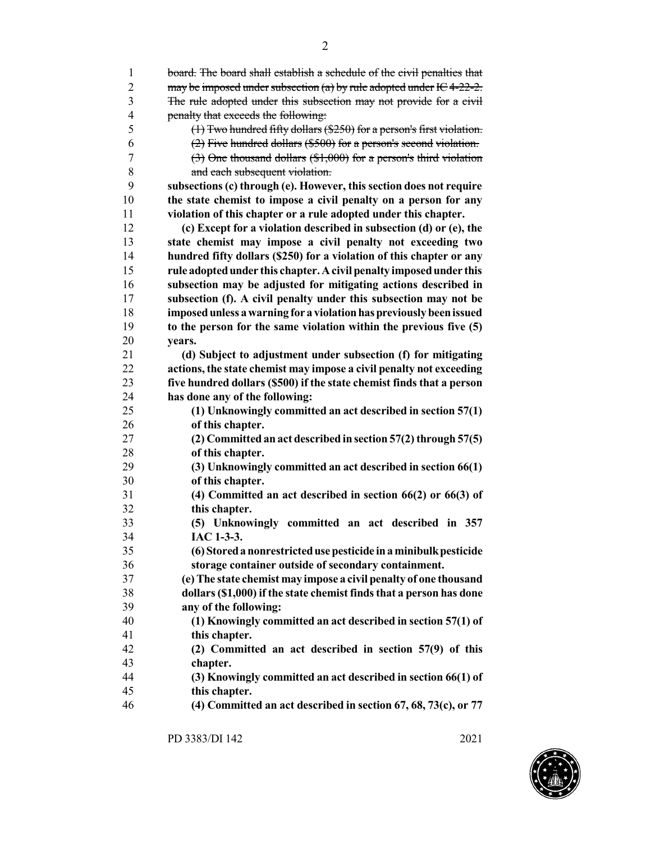board. The board shall establish a schedule of the civil penalties that 2 may be imposed under subsection (a) by rule adopted under  $E$  4-22-2. The rule adopted under this subsection may not provide for a civil penalty that exceeds the following:  $(1)$  Two hundred fifty dollars (\$250) for a person's first violation. (2) Five hundred dollars (\$500) for a person's second violation.  $(3)$  One thousand dollars  $($1,000)$  for a person's third violation and each subsequent violation. **subsections(c) through (e). However, this section does not require the state chemist to impose a civil penalty on a person for any violation of this chapter or a rule adopted under this chapter. (c) Except for a violation described in subsection (d) or (e), the state chemist may impose a civil penalty not exceeding two hundred fifty dollars (\$250) for a violation of this chapter or any rule adoptedunder this chapter.Acivil penalty imposedunder this subsection may be adjusted for mitigating actions described in subsection (f). A civil penalty under this subsection may not be imposedunless awarning for a violationhaspreviouslybeenissued to the person for the same violation within the previous five (5) years. (d) Subject to adjustment under subsection (f) for mitigating actions, the state chemist may impose a civil penalty not exceeding five hundred dollars (\$500) if the state chemist finds that a person has done any of the following: (1) Unknowingly committed an act described in section 57(1) of this chapter. (2) Committed an act described in section 57(2) through 57(5) of this chapter. (3) Unknowingly committed an act described in section 66(1) of this chapter. (4) Committed an act described in section 66(2) or 66(3) of this chapter. (5) Unknowingly committed an act described in 357 IAC 1-3-3. (6)Storedanonrestrictedusepesticide ina minibulkpesticide storage container outside of secondary containment. (e)The state chemist may impose a civil penalty of one thousand dollars(\$1,000) if the state chemist findsthat a person has done any of the following: (1) Knowingly committed an act described in section 57(1) of this chapter. (2) Committed an act described in section 57(9) of this chapter. (3) Knowingly committed an act described in section 66(1) of this chapter. (4) Committed an act described in section 67, 68, 73(c), or 77**

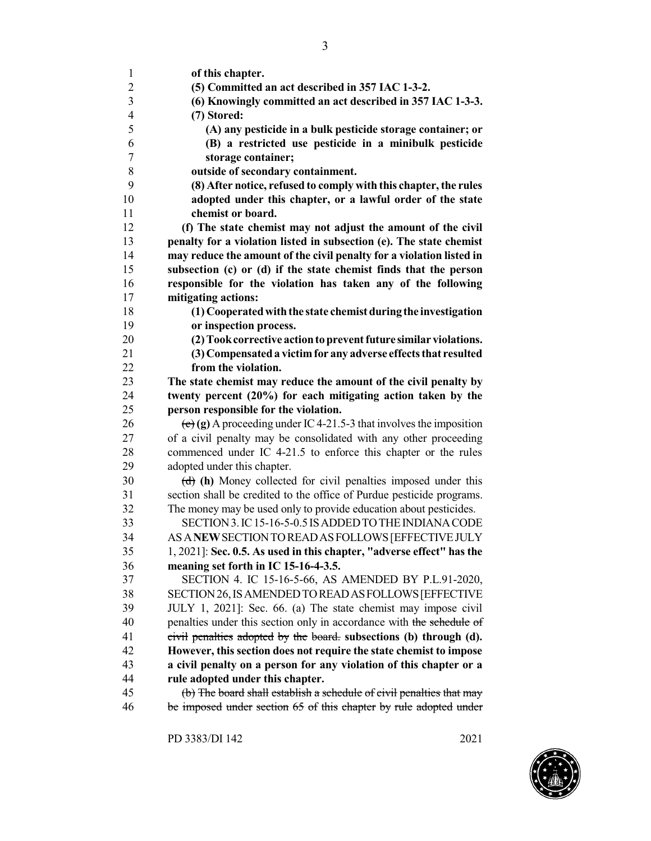**of this chapter. (5) Committed an act described in 357 IAC 1-3-2. (6) Knowingly committed an act described in 357 IAC 1-3-3. (7) Stored: (A) any pesticide in a bulk pesticide storage container; or (B) a restricted use pesticide in a minibulk pesticide storage container; outside of secondary containment. (8) After notice, refused to comply with this chapter,the rules adopted under this chapter, or a lawful order of the state chemist or board. (f) The state chemist may not adjust the amount of the civil penalty for a violation listed in subsection (e). The state chemist may reduce the amount of the civil penalty for a violation listed in subsection (c) or (d) if the state chemist finds that the person responsible for the violation has taken any of the following mitigating actions: (1) Cooperatedwiththe state chemistduring the investigation or inspection process. (2)Tookcorrective actiontopreventfuture similar violations. (3)Compensateda victimfor any adverse effectsthat resulted from the violation. The state chemist may reduce the amount of the civil penalty by twenty percent (20%) for each mitigating action taken by the person responsible for the violation.**  $\left(\text{e}\right)$  (g) A proceeding under IC4-21.5-3 that involves the imposition of a civil penalty may be consolidated with any other proceeding commenced under IC 4-21.5 to enforce this chapter or the rules adopted under this chapter. (d) **(h)** Money collected for civil penalties imposed under this section shall be credited to the office of Purdue pesticide programs. The money may be used only to provide education about pesticides. SECTION3.IC15-16-5-0.5 ISADDEDTOTHEINDIANACODE ASA**NEW**SECTIONTOREADASFOLLOWS[EFFECTIVEJULY 1, 2021]: **Sec. 0.5. As used in this chapter, "adverse effect" has the meaning set forth in IC 15-16-4-3.5.** SECTION 4. IC 15-16-5-66, AS AMENDED BY P.L.91-2020, SECTION26,ISAMENDEDTOREADASFOLLOWS[EFFECTIVE JULY 1, 2021]: Sec. 66. (a) The state chemist may impose civil 40 penalties under this section only in accordance with the schedule of civil penalties adopted by the board. **subsections (b) through (d). However, this section does not require the state chemist to impose a civil penalty on a person for any violation of this chapter or a rule adopted under this chapter.** (b) The board shall establish a schedule of civil penalties that may be imposed under section 65 of this chapter by rule adopted under

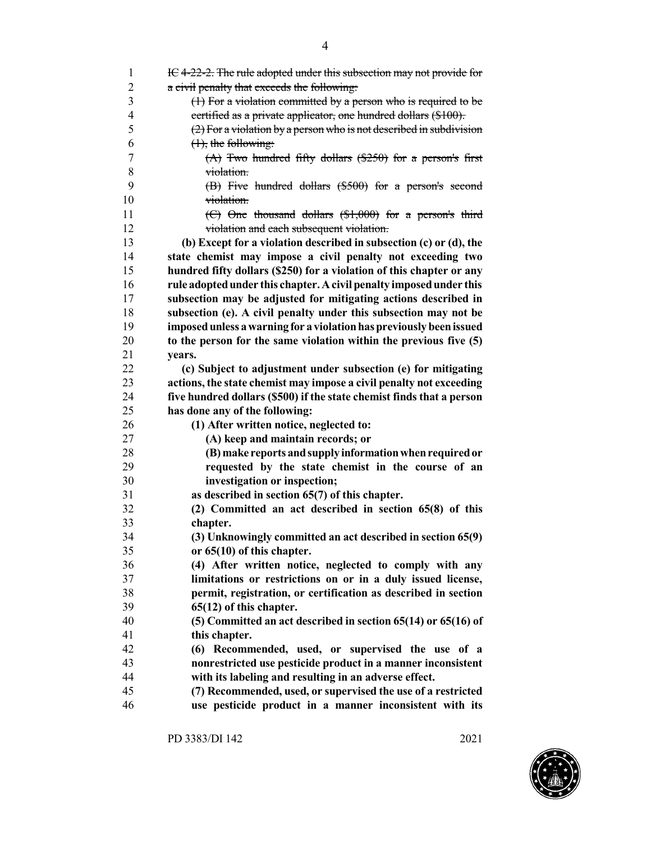| $\mathbf{1}$   | IC 4-22-2. The rule adopted under this subsection may not provide for                                |
|----------------|------------------------------------------------------------------------------------------------------|
| $\overline{c}$ | a civil penalty that exceeds the following:                                                          |
| 3              | $(1)$ For a violation committed by a person who is required to be                                    |
| $\overline{4}$ | certified as a private applicator, one hundred dollars (\$100).                                      |
| 5              | $(2)$ For a violation by a person who is not described in subdivision                                |
| 6              | $(1)$ , the following:                                                                               |
| $\overline{7}$ | $(A)$ Two hundred fifty dollars $(\$250)$ for a person's first                                       |
| 8              | violation.                                                                                           |
| 9              | (B) Five hundred dollars (\$500) for a person's second                                               |
| 10             | violation.                                                                                           |
| 11             | $\left(\frac{C}{C}\right)$ One thousand dollars $\left(\frac{1}{2}, 000\right)$ for a person's third |
| 12             | violation and each subsequent violation.                                                             |
| 13             | (b) Except for a violation described in subsection (c) or (d), the                                   |
| 14             | state chemist may impose a civil penalty not exceeding two                                           |
| 15             | hundred fifty dollars (\$250) for a violation of this chapter or any                                 |
| 16             | rule adopted under this chapter. A civil penalty imposed under this                                  |
| 17             | subsection may be adjusted for mitigating actions described in                                       |
| 18             | subsection (e). A civil penalty under this subsection may not be                                     |
| 19             | imposed unless a warning for a violation has previously been issued                                  |
| 20             | to the person for the same violation within the previous five (5)                                    |
| 21             | years.                                                                                               |
| 22             | (c) Subject to adjustment under subsection (e) for mitigating                                        |
| 23             | actions, the state chemist may impose a civil penalty not exceeding                                  |
| 24             | five hundred dollars (\$500) if the state chemist finds that a person                                |
| 25             | has done any of the following:                                                                       |
| 26             | (1) After written notice, neglected to:                                                              |
| 27             | (A) keep and maintain records; or                                                                    |
| 28             | (B) make reports and supply information when required or                                             |
| 29             | requested by the state chemist in the course of an                                                   |
| 30             | investigation or inspection;                                                                         |
| 31             | as described in section 65(7) of this chapter.                                                       |
| 32             | (2) Committed an act described in section 65(8) of this                                              |
| 33             | chapter.                                                                                             |
| 34             | (3) Unknowingly committed an act described in section 65(9)                                          |
| 35             | or $65(10)$ of this chapter.                                                                         |
| 36             | (4) After written notice, neglected to comply with any                                               |
| 37             | limitations or restrictions on or in a duly issued license,                                          |
| 38             | permit, registration, or certification as described in section                                       |
| 39             | $65(12)$ of this chapter.                                                                            |
| 40             | $(5)$ Committed an act described in section 65(14) or 65(16) of                                      |
| 41             | this chapter.                                                                                        |
| 42             | (6) Recommended, used, or supervised the use of a                                                    |
| 43             | nonrestricted use pesticide product in a manner inconsistent                                         |
| 44             | with its labeling and resulting in an adverse effect.                                                |
| 45             | (7) Recommended, used, or supervised the use of a restricted                                         |
| 46             | use pesticide product in a manner inconsistent with its                                              |

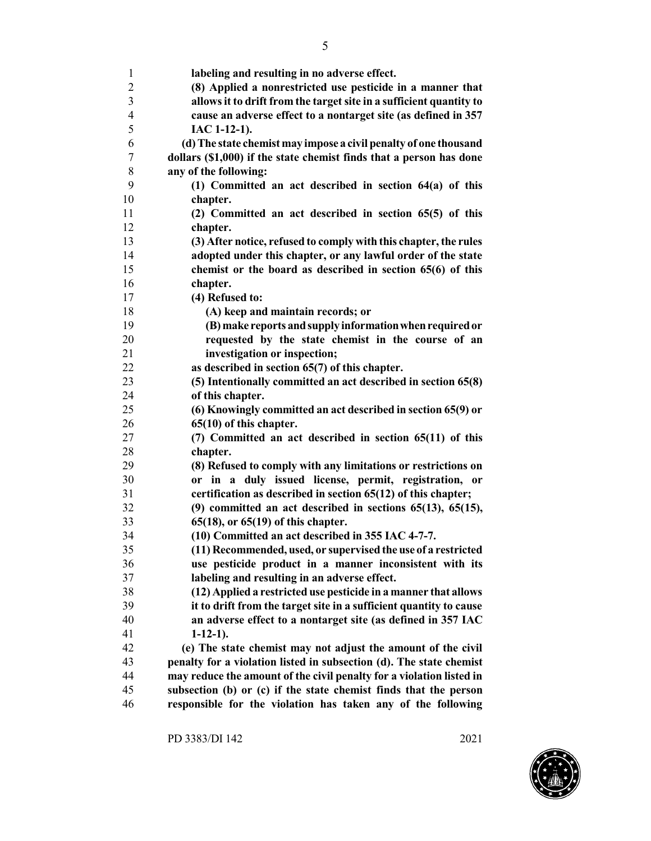| $\mathbf{1}$   | labeling and resulting in no adverse effect.                         |
|----------------|----------------------------------------------------------------------|
| $\overline{2}$ | (8) Applied a nonrestricted use pesticide in a manner that           |
| 3              | allows it to drift from the target site in a sufficient quantity to  |
| $\overline{4}$ | cause an adverse effect to a nontarget site (as defined in 357       |
| 5              | IAC 1-12-1).                                                         |
| 6              | (d) The state chemist may impose a civil penalty of one thousand     |
| $\tau$         | dollars (\$1,000) if the state chemist finds that a person has done  |
| $\,8\,$        | any of the following:                                                |
| 9              | (1) Committed an act described in section 64(a) of this              |
| 10             | chapter.                                                             |
| 11             | (2) Committed an act described in section 65(5) of this              |
| 12             | chapter.                                                             |
| 13             | (3) After notice, refused to comply with this chapter, the rules     |
| 14             | adopted under this chapter, or any lawful order of the state         |
| 15             | chemist or the board as described in section 65(6) of this           |
| 16             | chapter.                                                             |
| 17             | (4) Refused to:                                                      |
| 18             | (A) keep and maintain records; or                                    |
| 19             | (B) make reports and supply information when required or             |
| 20             | requested by the state chemist in the course of an                   |
| 21             | investigation or inspection;                                         |
| 22             | as described in section 65(7) of this chapter.                       |
| 23             | (5) Intentionally committed an act described in section 65(8)        |
| 24             | of this chapter.                                                     |
| 25             | (6) Knowingly committed an act described in section 65(9) or         |
| 26             | 65(10) of this chapter.                                              |
| 27             | (7) Committed an act described in section 65(11) of this             |
| 28             | chapter.                                                             |
| 29             | (8) Refused to comply with any limitations or restrictions on        |
| 30             | or in a duly issued license, permit, registration, or                |
| 31             | certification as described in section 65(12) of this chapter;        |
| 32             | $(9)$ committed an act described in sections 65(13), 65(15),         |
| 33             | $65(18)$ , or $65(19)$ of this chapter.                              |
| 34             | (10) Committed an act described in 355 IAC 4-7-7.                    |
| 35             | (11) Recommended, used, or supervised the use of a restricted        |
| 36             | use pesticide product in a manner inconsistent with its              |
| 37             | labeling and resulting in an adverse effect.                         |
| 38             | (12) Applied a restricted use pesticide in a manner that allows      |
| 39             | it to drift from the target site in a sufficient quantity to cause   |
| 40             | an adverse effect to a nontarget site (as defined in 357 IAC         |
| 41             | $1-12-1$ ).                                                          |
| 42             | (e) The state chemist may not adjust the amount of the civil         |
| 43             | penalty for a violation listed in subsection (d). The state chemist  |
| 44             | may reduce the amount of the civil penalty for a violation listed in |
| 45             | subsection (b) or (c) if the state chemist finds that the person     |
| 46             | responsible for the violation has taken any of the following         |
|                |                                                                      |